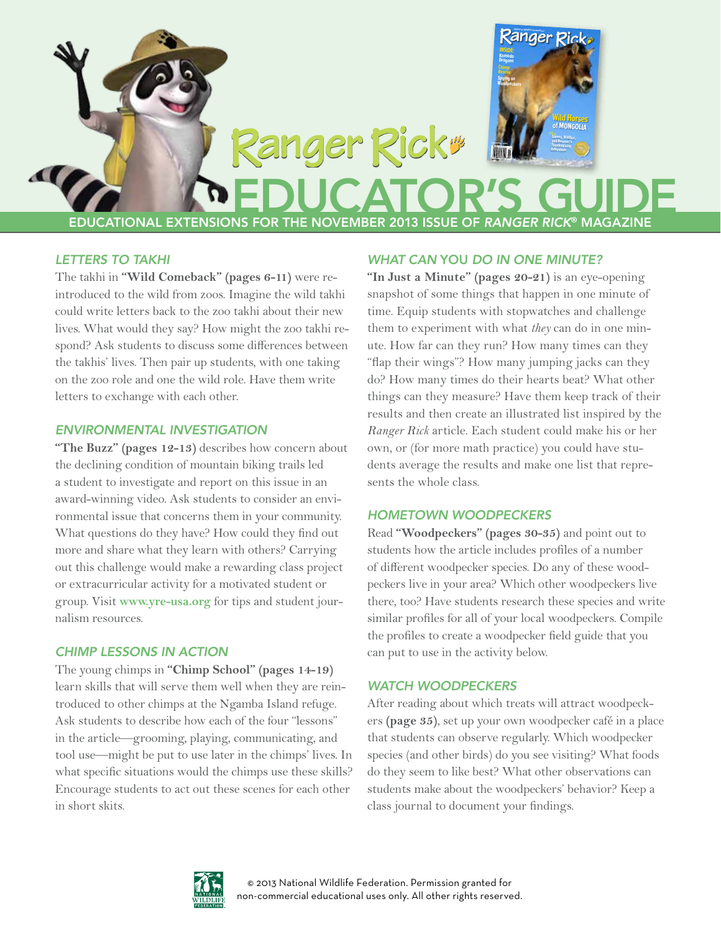

### *Letters to Takhi*

The takhi in **"Wild Comeback" (pages 6-11)** were reintroduced to the wild from zoos. Imagine the wild takhi could write letters back to the zoo takhi about their new lives. What would they say? How might the zoo takhi respond? Ask students to discuss some differences between the takhis' lives. Then pair up students, with one taking on the zoo role and one the wild role. Have them write letters to exchange with each other.

#### *Environmental Investigation*

**"The Buzz" (pages 12-13)** describes how concern about the declining condition of mountain biking trails led a student to investigate and report on this issue in an award-winning video. Ask students to consider an environmental issue that concerns them in your community. What questions do they have? How could they find out more and share what they learn with others? Carrying out this challenge would make a rewarding class project or extracurricular activity for a motivated student or group. Visit **[www.yre-usa.org](http://www.yre-usa.org)** for tips and student journalism resources.

### *Chimp Lessons in Action*

The young chimps in **"Chimp School" (pages 14-19)** learn skills that will serve them well when they are reintroduced to other chimps at the Ngamba Island refuge. Ask students to describe how each of the four "lessons" in the article—grooming, playing, communicating, and tool use—might be put to use later in the chimps' lives. In what specific situations would the chimps use these skills? Encourage students to act out these scenes for each other in short skits.

### *What Can* You *Do in One Minute?*

**"In Just a Minute" (pages 20-21)** is an eye-opening snapshot of some things that happen in one minute of time. Equip students with stopwatches and challenge them to experiment with what *they* can do in one minute. How far can they run? How many times can they "flap their wings"? How many jumping jacks can they do? How many times do their hearts beat? What other things can they measure? Have them keep track of their results and then create an illustrated list inspired by the *Ranger Rick* article. Each student could make his or her own, or (for more math practice) you could have students average the results and make one list that represents the whole class.

### *Hometown Woodpeckers*

Read **"Woodpeckers" (pages 30-35)** and point out to students how the article includes profiles of a number of different woodpecker species. Do any of these woodpeckers live in your area? Which other woodpeckers live there, too? Have students research these species and write similar profiles for all of your local woodpeckers. Compile the profiles to create a woodpecker field guide that you can put to use in the activity below.

### *Watch Woodpeckers*

After reading about which treats will attract woodpeckers **(page 35)**, set up your own woodpecker café in a place that students can observe regularly. Which woodpecker species (and other birds) do you see visiting? What foods do they seem to like best? What other observations can students make about the woodpeckers' behavior? Keep a class journal to document your findings.

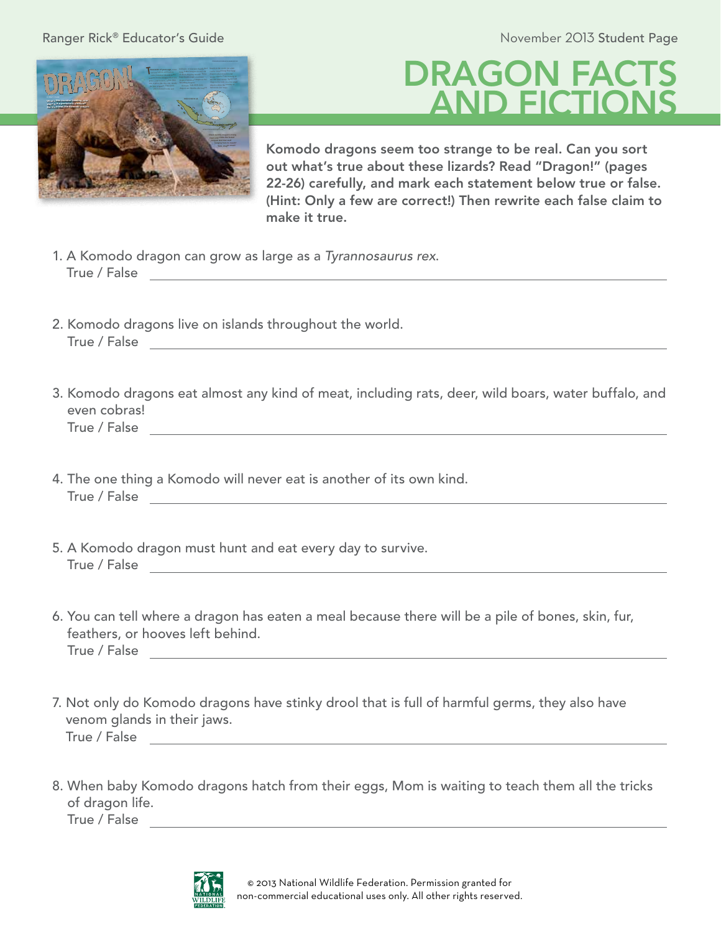Ranger Rick® Educator's Guide © Educator's Guide & Education of the Student Page & Educator's Guide



## **DRAGON FACT** AND FICTIONS

Komodo dragons seem too strange to be real. Can you sort out what's true about these lizards? Read "Dragon!" (pages 22-26) carefully, and mark each statement below true or false. (Hint: Only a few are correct!) Then rewrite each false claim to make it true.

- 1. A Komodo dragon can grow as large as a *Tyrannosaurus rex*. True / False
- 2. Komodo dragons live on islands throughout the world. True / False **True / False**
- 3. Komodo dragons eat almost any kind of meat, including rats, deer, wild boars, water buffalo, and even cobras! True / False
- 4. The one thing a Komodo will never eat is another of its own kind. True / False
- 5. A Komodo dragon must hunt and eat every day to survive. True / False **True / False True / True / True / True / True / True / True / True / True / True / True / True / True / True / True / True / True / True / True / True / True / True / True / True / True / True / True / True**
- 6. You can tell where a dragon has eaten a meal because there will be a pile of bones, skin, fur, feathers, or hooves left behind. True / False
- 7. Not only do Komodo dragons have stinky drool that is full of harmful germs, they also have venom glands in their jaws. True / False
- 8. When baby Komodo dragons hatch from their eggs, Mom is waiting to teach them all the tricks of dragon life. True / False